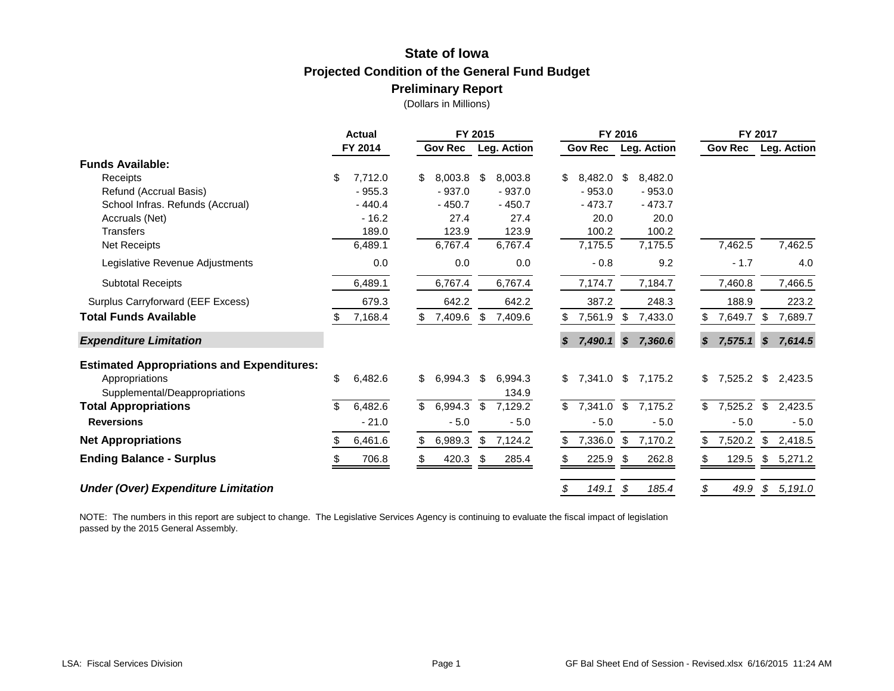# **State of Iowa Projected Condition of the General Fund Budget Preliminary Report**

(Dollars in Millions)

|                                                   | FY 2015<br><b>Actual</b> |                                 | FY 2016                                                         | FY 2017                                                |  |  |  |  |
|---------------------------------------------------|--------------------------|---------------------------------|-----------------------------------------------------------------|--------------------------------------------------------|--|--|--|--|
|                                                   | FY 2014                  | <b>Gov Rec</b><br>Leg. Action   | <b>Gov Rec</b><br>Leg. Action                                   | <b>Gov Rec</b><br>Leg. Action                          |  |  |  |  |
| <b>Funds Available:</b>                           |                          |                                 |                                                                 |                                                        |  |  |  |  |
| Receipts                                          | \$<br>7,712.0            | 8,003.8<br>\$<br>8,003.8<br>\$  | \$<br>8,482.0<br>\$<br>8,482.0                                  |                                                        |  |  |  |  |
| Refund (Accrual Basis)                            | $-955.3$                 | $-937.0$<br>$-937.0$            | $-953.0$<br>$-953.0$                                            |                                                        |  |  |  |  |
| School Infras. Refunds (Accrual)                  | $-440.4$                 | $-450.7$<br>$-450.7$            | $-473.7$<br>$-473.7$                                            |                                                        |  |  |  |  |
| Accruals (Net)                                    | $-16.2$                  | 27.4<br>27.4                    | 20.0<br>20.0                                                    |                                                        |  |  |  |  |
| <b>Transfers</b>                                  | 189.0                    | 123.9<br>123.9                  | 100.2<br>100.2                                                  |                                                        |  |  |  |  |
| Net Receipts                                      | 6,489.1                  | 6,767.4<br>6,767.4              | 7,175.5<br>7,175.5                                              | 7,462.5<br>7,462.5                                     |  |  |  |  |
| Legislative Revenue Adjustments                   | 0.0                      | 0.0<br>0.0                      | $-0.8$<br>9.2                                                   | $-1.7$<br>4.0                                          |  |  |  |  |
| <b>Subtotal Receipts</b>                          | 6,489.1                  | 6,767.4<br>6,767.4              | 7,184.7<br>7,174.7                                              | 7,460.8<br>7,466.5                                     |  |  |  |  |
| Surplus Carryforward (EEF Excess)                 | 679.3                    | 642.2<br>642.2                  | 387.2<br>248.3                                                  | 188.9<br>223.2                                         |  |  |  |  |
| <b>Total Funds Available</b>                      | 7,168.4                  | 7,409.6<br>\$<br>7,409.6        | \$<br>7,561.9<br>7,433.0                                        | \$<br>7,649.7<br>7,689.7                               |  |  |  |  |
| <b>Expenditure Limitation</b>                     |                          |                                 | 7,490.1<br>7,360.6<br>$\boldsymbol{\mathcal{S}}$<br>S           | \$<br>7,575.1<br>$\boldsymbol{\mathcal{S}}$<br>7,614.5 |  |  |  |  |
| <b>Estimated Appropriations and Expenditures:</b> |                          |                                 |                                                                 |                                                        |  |  |  |  |
| Appropriations                                    | \$<br>6,482.6            | \$<br>\$<br>6,994.3<br>6,994.3  | \$<br>\$<br>7,341.0<br>7,175.2                                  | \$<br>\$<br>7,525.2<br>2,423.5                         |  |  |  |  |
| Supplemental/Deappropriations                     |                          | 134.9                           |                                                                 |                                                        |  |  |  |  |
| <b>Total Appropriations</b>                       | 6,482.6<br>\$.           | \$<br>6,994.3<br>\$<br>7,129.2  | $\overline{\mathcal{E}}$<br>7,175.2<br>$\mathcal{L}$<br>7,341.0 | \$<br>$\mathfrak{P}$<br>7,525.2<br>2,423.5             |  |  |  |  |
| <b>Reversions</b>                                 | $-21.0$                  | $-5.0$<br>$-5.0$                | $-5.0$<br>$-5.0$                                                | $-5.0$<br>$-5.0$                                       |  |  |  |  |
| <b>Net Appropriations</b>                         | 6,461.6                  | 7,124.2<br>6,989.3<br>\$<br>\$. | \$<br>7,170.2<br>7,336.0<br>S                                   | 7,520.2<br>\$<br>2,418.5<br>S.                         |  |  |  |  |
| <b>Ending Balance - Surplus</b>                   | 706.8                    | 420.3<br>285.4<br>\$            | 225.9<br>262.8<br>- \$                                          | \$5,271.2<br>129.5                                     |  |  |  |  |
| <b>Under (Over) Expenditure Limitation</b>        |                          |                                 | \$<br>149.1<br>185.4<br>\$                                      | \$<br>49.9<br>$\mathcal{L}$<br>5,191.0                 |  |  |  |  |

NOTE: The numbers in this report are subject to change. The Legislative Services Agency is continuing to evaluate the fiscal impact of legislation passed by the 2015 General Assembly.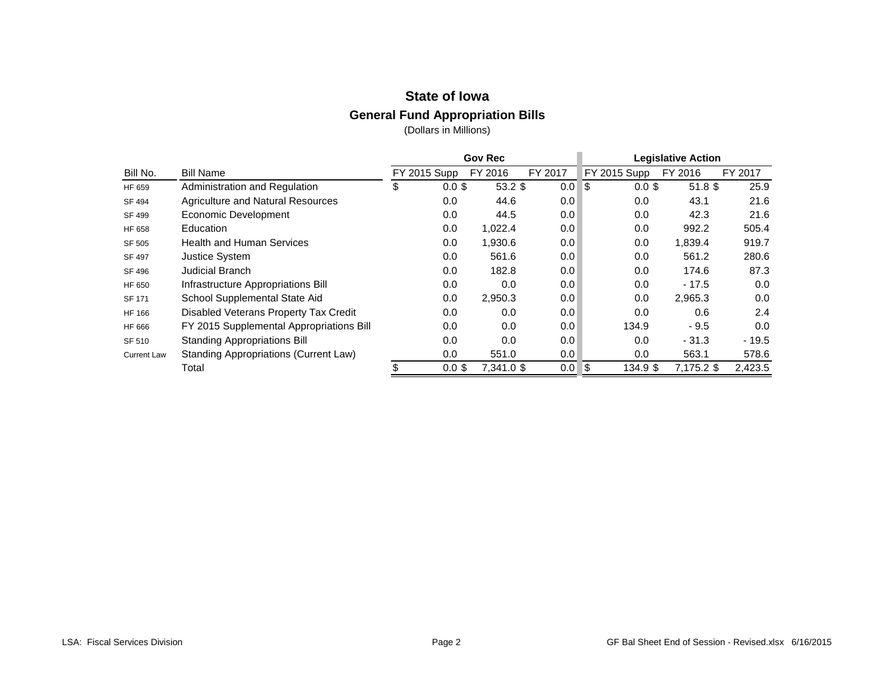## **State of Iowa**

## **General Fund Appropriation Bills**

|                    |                                          |                     |          | <b>Gov Rec</b> |         | <b>Legislative Action</b> |              |            |         |  |
|--------------------|------------------------------------------|---------------------|----------|----------------|---------|---------------------------|--------------|------------|---------|--|
| Bill No.           | <b>Bill Name</b>                         | <b>FY 2015 Supp</b> |          | FY 2016        | FY 2017 |                           | FY 2015 Supp | FY 2016    | FY 2017 |  |
| HF 659             | Administration and Regulation            | \$                  | $0.0$ \$ | $53.2$ \$      | 0.0     | 5                         | $0.0$ \$     | $51.8$ \$  | 25.9    |  |
| SF 494             | Agriculture and Natural Resources        |                     | 0.0      | 44.6           | 0.0     |                           | 0.0          | 43.1       | 21.6    |  |
| SF 499             | Economic Development                     |                     | 0.0      | 44.5           | 0.0     |                           | 0.0          | 42.3       | 21.6    |  |
| HF 658             | Education                                |                     | 0.0      | 1,022.4        | 0.0     |                           | 0.0          | 992.2      | 505.4   |  |
| SF 505             | <b>Health and Human Services</b>         |                     | 0.0      | 1,930.6        | 0.0     |                           | 0.0          | 1,839.4    | 919.7   |  |
| SF 497             | <b>Justice System</b>                    |                     | 0.0      | 561.6          | 0.0     |                           | 0.0          | 561.2      | 280.6   |  |
| SF 496             | <b>Judicial Branch</b>                   |                     | 0.0      | 182.8          | 0.0     |                           | 0.0          | 174.6      | 87.3    |  |
| HF 650             | Infrastructure Appropriations Bill       |                     | 0.0      | 0.0            | 0.0     |                           | 0.0          | $-17.5$    | 0.0     |  |
| <b>SF 171</b>      | School Supplemental State Aid            |                     | 0.0      | 2,950.3        | 0.0     |                           | 0.0          | 2,965.3    | 0.0     |  |
| HF 166             | Disabled Veterans Property Tax Credit    |                     | 0.0      | 0.0            | 0.0     |                           | 0.0          | 0.6        | 2.4     |  |
| HF 666             | FY 2015 Supplemental Appropriations Bill |                     | 0.0      | 0.0            | 0.0     |                           | 134.9        | $-9.5$     | 0.0     |  |
| SF 510             | <b>Standing Appropriations Bill</b>      |                     | 0.0      | 0.0            | 0.0     |                           | 0.0          | $-31.3$    | $-19.5$ |  |
| <b>Current Law</b> | Standing Appropriations (Current Law)    |                     | 0.0      | 551.0          | 0.0     |                           | 0.0          | 563.1      | 578.6   |  |
|                    | Total                                    |                     | $0.0$ \$ | 7,341.0 \$     | 0.0     | \$                        | 134.9 \$     | 7,175.2 \$ | 2,423.5 |  |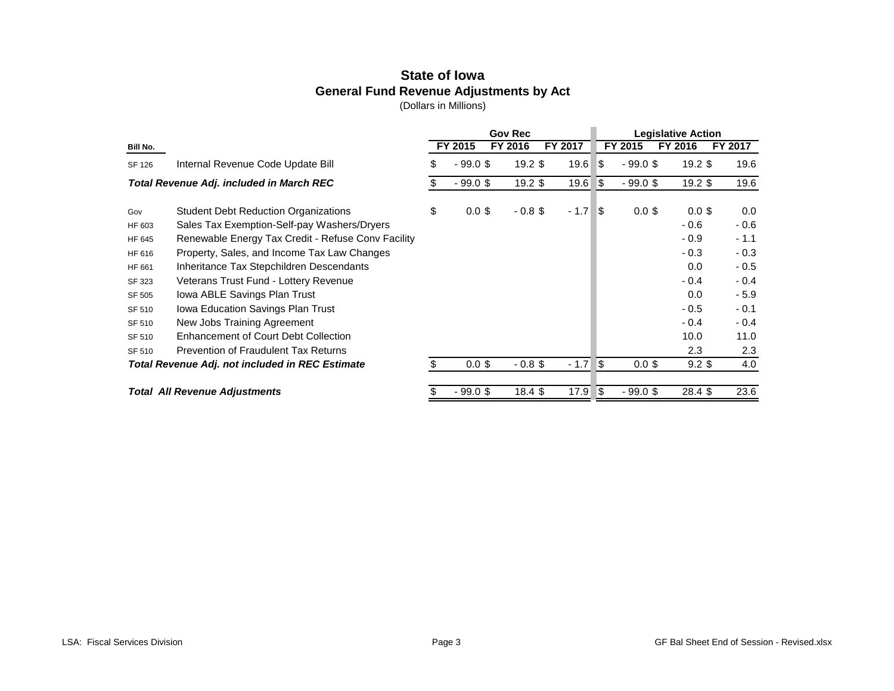## **State of Iowa General Fund Revenue Adjustments by Act**

|               |                                                    |     |            | <b>Gov Rec</b> |         |                                   | <b>Legislative Action</b> |           |         |  |  |
|---------------|----------------------------------------------------|-----|------------|----------------|---------|-----------------------------------|---------------------------|-----------|---------|--|--|
| Bill No.      |                                                    |     | FY 2015    | FY 2016        | FY 2017 |                                   | FY 2015                   | FY 2016   | FY 2017 |  |  |
| <b>SF 126</b> | Internal Revenue Code Update Bill                  | \$  | $-99.0$ \$ | $19.2$ \$      | 19.6    | 8                                 | $-99.0$ \$                | $19.2$ \$ | 19.6    |  |  |
|               | <b>Total Revenue Adj. included in March REC</b>    | S.  | $-99.0$ \$ | $19.2$ \$      | 19.6    | \$                                | $-99.0$ \$                | $19.2$ \$ | 19.6    |  |  |
| Gov           | <b>Student Debt Reduction Organizations</b>        | \$  | $0.0$ \$   | $-0.8$ \$      | $-1.7$  | \$                                | $0.0$ \$                  | $0.0$ \$  | 0.0     |  |  |
| HF 603        | Sales Tax Exemption-Self-pay Washers/Dryers        |     |            |                |         |                                   |                           | $-0.6$    | $-0.6$  |  |  |
| HF 645        | Renewable Energy Tax Credit - Refuse Conv Facility |     |            |                |         |                                   |                           | $-0.9$    | $-1.1$  |  |  |
| HF 616        | Property, Sales, and Income Tax Law Changes        |     |            |                |         |                                   |                           | $-0.3$    | $-0.3$  |  |  |
| HF 661        | Inheritance Tax Stepchildren Descendants           |     |            |                |         |                                   |                           | 0.0       | $-0.5$  |  |  |
| SF 323        | Veterans Trust Fund - Lottery Revenue              |     |            |                |         |                                   |                           | $-0.4$    | $-0.4$  |  |  |
| SF 505        | Iowa ABLE Savings Plan Trust                       |     |            |                |         |                                   |                           | 0.0       | $-5.9$  |  |  |
| SF 510        | Iowa Education Savings Plan Trust                  |     |            |                |         |                                   |                           | $-0.5$    | $-0.1$  |  |  |
| SF 510        | New Jobs Training Agreement                        |     |            |                |         |                                   |                           | $-0.4$    | $-0.4$  |  |  |
| SF 510        | <b>Enhancement of Court Debt Collection</b>        |     |            |                |         |                                   |                           | 10.0      | 11.0    |  |  |
| SF 510        | <b>Prevention of Fraudulent Tax Returns</b>        |     |            |                |         |                                   |                           | 2.3       | 2.3     |  |  |
|               | Total Revenue Adj. not included in REC Estimate    | \$. | $0.0$ \$   | $-0.8$ \$      | $-1.7$  | \$<br>4.0<br>$0.0$ \$<br>$9.2$ \$ |                           |           |         |  |  |
|               | <b>Total All Revenue Adjustments</b>               |     | $-99.0$ \$ | 18.4 \$        | 17.9    | 5                                 | $-99.0$ \$                | 28.4 \$   | 23.6    |  |  |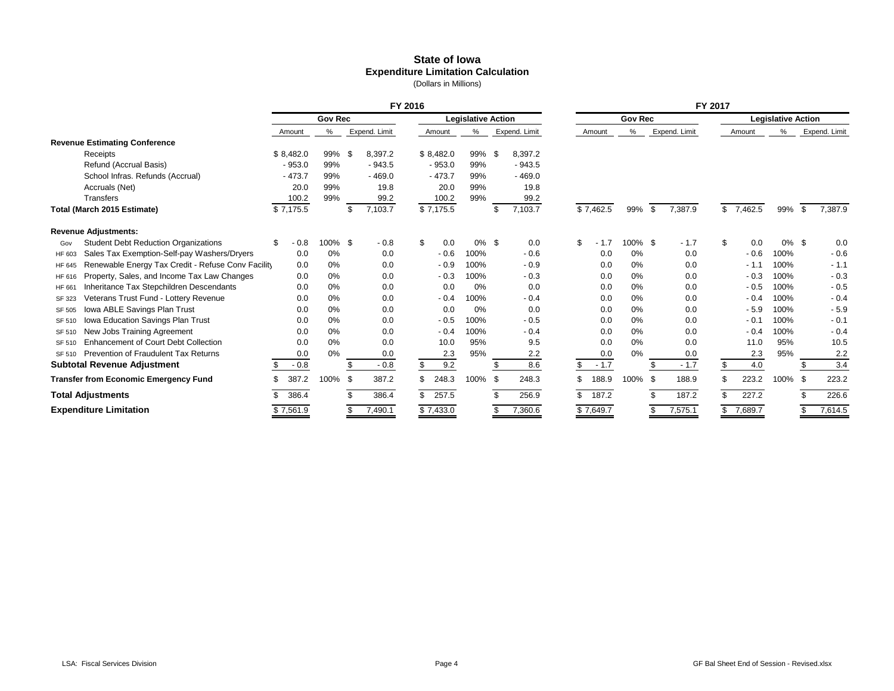#### **State of Iowa Expenditure Limitation Calculation** (Dollars in Millions)

|        |                                                    | FY 2016 |           |                |      |               |     |                           |          | FY 2017 |                |     |           |            |     |                           |     |           |          |      |               |
|--------|----------------------------------------------------|---------|-----------|----------------|------|---------------|-----|---------------------------|----------|---------|----------------|-----|-----------|------------|-----|---------------------------|-----|-----------|----------|------|---------------|
|        |                                                    |         |           | <b>Gov Rec</b> |      |               |     | <b>Legislative Action</b> |          |         | <b>Gov Rec</b> |     |           |            |     | <b>Legislative Action</b> |     |           |          |      |               |
|        |                                                    |         | Amount    | %              |      | Expend. Limit |     | Amount                    | ℅        |         | Expend. Limit  |     | Amount    | $\%$       |     | Expend. Limit             |     | Amount    | %        |      | Expend. Limit |
|        | <b>Revenue Estimating Conference</b>               |         |           |                |      |               |     |                           |          |         |                |     |           |            |     |                           |     |           |          |      |               |
|        | Receipts                                           |         | \$8,482.0 | 99%            | \$   | 8,397.2       |     | \$8,482.0                 | 99%      | - \$    | 8,397.2        |     |           |            |     |                           |     |           |          |      |               |
|        | Refund (Accrual Basis)                             |         | $-953.0$  | 99%            |      | $-943.5$      |     | $-953.0$                  | 99%      |         | $-943.5$       |     |           |            |     |                           |     |           |          |      |               |
|        | School Infras. Refunds (Accrual)                   |         | $-473.7$  | 99%            |      | $-469.0$      |     | $-473.7$                  | 99%      |         | $-469.0$       |     |           |            |     |                           |     |           |          |      |               |
|        | Accruals (Net)                                     |         | 20.0      | 99%            |      | 19.8          |     | 20.0                      | 99%      |         | 19.8           |     |           |            |     |                           |     |           |          |      |               |
|        | Transfers                                          |         | 100.2     | 99%            |      | 99.2          |     | 100.2                     | 99%      |         | 99.2           |     |           |            |     |                           |     |           |          |      |               |
|        | Total (March 2015 Estimate)                        |         | \$7,175.5 |                | \$   | 7,103.7       |     | \$7,175.5                 |          | \$      | 7,103.7        |     | \$7,462.5 | 99%        | \$  | 7,387.9                   |     | \$7,462.5 | 99%      |      | 7,387.9       |
|        | <b>Revenue Adjustments:</b>                        |         |           |                |      |               |     |                           |          |         |                |     |           |            |     |                           |     |           |          |      |               |
| Gov    | <b>Student Debt Reduction Organizations</b>        | \$      | $-0.8$    | 100% \$        |      | $-0.8$        | \$  | 0.0                       | $0\%$ \$ |         | 0.0            | \$  | 1.7       | $100\%$ \$ |     | $-1.7$                    | \$  | 0.0       | $0\%$ \$ |      | 0.0           |
| HF 603 | Sales Tax Exemption-Self-pay Washers/Dryers        |         | 0.0       | 0%             |      | 0.0           |     | $-0.6$                    | 100%     |         | $-0.6$         |     | 0.0       | 0%         |     | 0.0                       |     | $-0.6$    | 100%     |      | $-0.6$        |
| HF 645 | Renewable Energy Tax Credit - Refuse Conv Facility |         | 0.0       | 0%             |      | 0.0           |     | $-0.9$                    | 100%     |         | $-0.9$         |     | 0.0       | 0%         |     | 0.0                       |     |           | 100%     |      | $-1.1$        |
| HF 616 | Property, Sales, and Income Tax Law Changes        |         | 0.0       | 0%             |      | 0.0           |     | $-0.3$                    | 100%     |         | $-0.3$         |     | 0.0       | 0%         |     | 0.0                       |     | $-0.3$    | 100%     |      | $-0.3$        |
| HF 66  | Inheritance Tax Stepchildren Descendants           |         | 0.0       | 0%             |      | 0.0           |     | 0.0                       | 0%       |         | 0.0            |     | 0.0       | 0%         |     | 0.0                       |     | $-0.5$    | 100%     |      | $-0.5$        |
| SF 323 | Veterans Trust Fund - Lottery Revenue              |         | 0.0       | 0%             |      | 0.0           |     | $-0.4$                    | 100%     |         | $-0.4$         |     | 0.0       | 0%         |     | 0.0                       |     | $-0.4$    | 100%     |      | $-0.4$        |
| SF 505 | Iowa ABLE Savings Plan Trust                       |         | 0.0       | 0%             |      | 0.0           |     | 0.0                       | 0%       |         | 0.0            |     | 0.0       | 0%         |     | 0.0                       |     | $-5.9$    | 100%     |      | $-5.9$        |
| SF 510 | Iowa Education Savings Plan Trust                  |         | 0.0       | 0%             |      | 0.0           |     | $-0.5$                    | 100%     |         | $-0.5$         |     | 0.0       | 0%         |     | 0.0                       |     | $-0.1$    | 100%     |      | $-0.1$        |
| SF 510 | New Jobs Training Agreement                        |         | 0.0       | 0%             |      | 0.0           |     | $-0.4$                    | 100%     |         | $-0.4$         |     | 0.0       | 0%         |     | 0.0                       |     | $-0.4$    | 100%     |      | $-0.4$        |
| SF 510 | <b>Enhancement of Court Debt Collection</b>        |         | 0.0       | 0%             |      | 0.0           |     | 10.0                      | 95%      |         | 9.5            |     | 0.0       | 0%         |     | 0.0                       |     | 11.0      | 95%      |      | 10.5          |
| SF 510 | Prevention of Fraudulent Tax Returns               |         | 0.0       | 0%             |      | 0.0           |     | 2.3                       | 95%      |         | 2.2            |     | 0.0       | 0%         |     | 0.0                       |     | 2.3       | 95%      |      | 2.2           |
|        | <b>Subtotal Revenue Adjustment</b>                 |         | $-0.8$    |                | \$   | $-0.8$        | \$  | 9.2                       |          |         | 8.6            | \$  | $-1.7$    |            | \$. | $-1.7$                    | \$  | 4.0       |          |      | 3.4           |
|        | <b>Transfer from Economic Emergency Fund</b>       |         | 387.2     | 100%           | - \$ | 387.2         | \$. | 248.3                     | 100%     | -\$     | 248.3          | \$. | 188.9     | 100%       | -\$ | 188.9                     | \$. | 223.2     | 100%     | - \$ | 223.2         |
|        | <b>Total Adjustments</b>                           |         | 386.4     |                | \$.  | 386.4         | \$. | 257.5                     |          |         | 256.9          | \$. | 187.2     |            | \$. | 187.2                     | \$  | 227.2     |          |      | 226.6         |
|        | <b>Expenditure Limitation</b>                      |         | \$7,561.9 |                |      | 7,490.1       |     | \$7,433.0                 |          |         | 7,360.6        |     | \$7,649.7 |            |     | 7,575.1                   |     | 7,689.7   |          |      | 7,614.5       |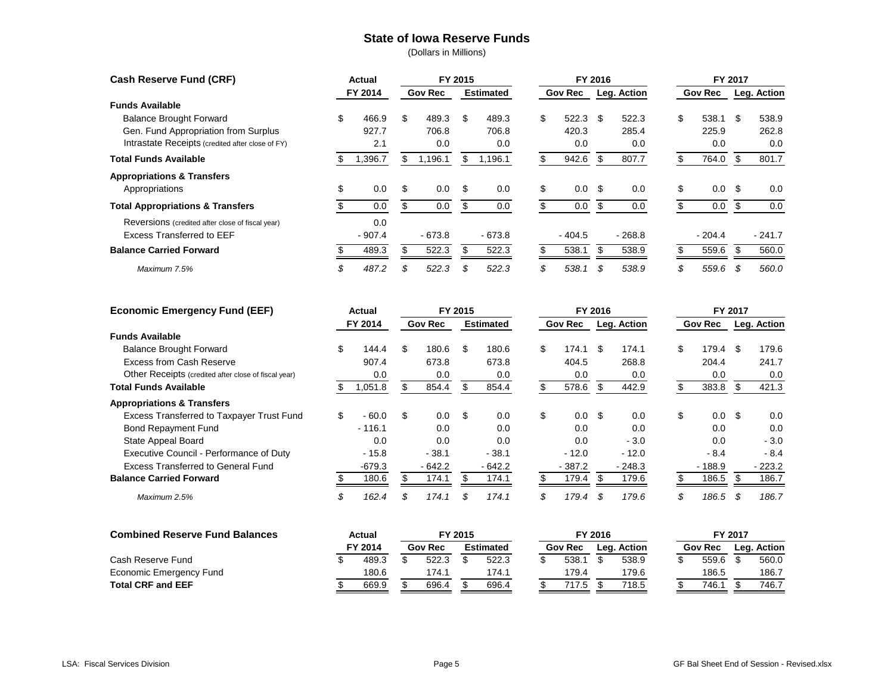#### **State of Iowa Reserve Funds**

| <b>Cash Reserve Fund (CRF)</b>                   |         | Actual   |                | FY 2015 |                  |         |    | FY 2016        |             |          | FY 2017        |          |             |          |
|--------------------------------------------------|---------|----------|----------------|---------|------------------|---------|----|----------------|-------------|----------|----------------|----------|-------------|----------|
|                                                  | FY 2014 |          | <b>Gov Rec</b> |         | <b>Estimated</b> |         |    | <b>Gov Rec</b> | Leg. Action |          | <b>Gov Rec</b> |          | Leg. Action |          |
| <b>Funds Available</b>                           |         |          |                |         |                  |         |    |                |             |          |                |          |             |          |
| <b>Balance Brought Forward</b>                   | \$      | 466.9    | \$             | 489.3   | \$               | 489.3   | \$ | 522.3          | \$.         | 522.3    | \$             | 538.1    | \$          | 538.9    |
| Gen. Fund Appropriation from Surplus             |         | 927.7    |                | 706.8   |                  | 706.8   |    | 420.3          |             | 285.4    |                | 225.9    |             | 262.8    |
| Intrastate Receipts (credited after close of FY) |         | 2.1      |                | 0.0     |                  | 0.0     |    | 0.0            |             | 0.0      |                | 0.0      |             | 0.0      |
| <b>Total Funds Available</b>                     |         | 1,396.7  | S              | 1,196.1 |                  | 1,196.1 |    | 942.6          | \$          | 807.7    |                | 764.0    |             | 801.7    |
| <b>Appropriations &amp; Transfers</b>            |         |          |                |         |                  |         |    |                |             |          |                |          |             |          |
| Appropriations                                   |         | 0.0      | \$             | 0.0     | \$               | 0.0     | \$ | 0.0            | \$          | 0.0      | \$             | 0.0      | - \$        | 0.0      |
| <b>Total Appropriations &amp; Transfers</b>      |         | 0.0      |                | 0.0     |                  | 0.0     |    | 0.0            | \$          | 0.0      |                | 0.0      |             | 0.0      |
| Reversions (credited after close of fiscal year) |         | 0.0      |                |         |                  |         |    |                |             |          |                |          |             |          |
| <b>Excess Transferred to EEF</b>                 |         | $-907.4$ |                | - 673.8 |                  | - 673.8 |    | $-404.5$       |             | $-268.8$ |                | $-204.4$ |             | $-241.7$ |
| <b>Balance Carried Forward</b>                   |         | 489.3    |                | 522.3   |                  | 522.3   |    | 538.1          |             | 538.9    |                | 559.6    |             | 560.0    |
| Maximum 7.5%                                     | \$      | 487.2    | \$             | 522.3   | .S               | 522.3   | \$ | 538.1          | \$          | 538.9    | \$             | 559.6    |             | 560.0    |

| <b>Economic Emergency Fund (EEF)</b>                 |     | Actual   |    | FY 2015        |    | FY 2016          |                |    | FY 2017     |     |                |     |             |
|------------------------------------------------------|-----|----------|----|----------------|----|------------------|----------------|----|-------------|-----|----------------|-----|-------------|
|                                                      |     | FY 2014  |    | <b>Gov Rec</b> |    | <b>Estimated</b> | <b>Gov Rec</b> |    | Leg. Action |     | <b>Gov Rec</b> |     | Leg. Action |
| <b>Funds Available</b>                               |     |          |    |                |    |                  |                |    |             |     |                |     |             |
| <b>Balance Brought Forward</b>                       | \$. | 144.4    | \$ | 180.6          | \$ | 180.6            | \$<br>174.1    | \$ | 174.1       | \$. | 179.4          | \$. | 179.6       |
| <b>Excess from Cash Reserve</b>                      |     | 907.4    |    | 673.8          |    | 673.8            | 404.5          |    | 268.8       |     | 204.4          |     | 241.7       |
| Other Receipts (credited after close of fiscal year) |     | 0.0      |    | 0.0            |    | 0.0              | 0.0            |    | 0.0         |     | 0.0            |     | 0.0         |
| <b>Total Funds Available</b>                         |     | 1,051.8  |    | 854.4          | S  | 854.4            | \$<br>578.6    | \$ | 442.9       |     | 383.8          | \$. | 421.3       |
| <b>Appropriations &amp; Transfers</b>                |     |          |    |                |    |                  |                |    |             |     |                |     |             |
| Excess Transferred to Taxpayer Trust Fund            | \$  | $-60.0$  | \$ | 0.0            | \$ | 0.0              | \$<br>0.0      | \$ | 0.0         | \$  | 0.0            | \$  | 0.0         |
| <b>Bond Repayment Fund</b>                           |     | $-116.1$ |    | 0.0            |    | 0.0              | 0.0            |    | 0.0         |     | 0.0            |     | 0.0         |
| State Appeal Board                                   |     | 0.0      |    | 0.0            |    | 0.0              | 0.0            |    | $-3.0$      |     | 0.0            |     | $-3.0$      |
| Executive Council - Performance of Duty              |     | $-15.8$  |    | $-38.1$        |    | $-38.1$          | $-12.0$        |    | $-12.0$     |     | $-8.4$         |     | $-8.4$      |
| <b>Excess Transferred to General Fund</b>            |     | $-679.3$ |    | $-642.2$       |    | $-642.2$         | $-387.2$       |    | $-248.3$    |     | $-188.9$       |     | $-223.2$    |
| <b>Balance Carried Forward</b>                       |     | 180.6    |    | 174.1          |    | 174.1            | 179.4          |    | 179.6       |     | 186.5          |     | 186.7       |
| Maximum 2.5%                                         | Y.  | 162.4    | \$ | 174.1          | \$ | 174.1            | \$<br>179.4    | \$ | 179.6       | \$  | 186.5          | \$  | 186.7       |

| <b>Combined Reserve Fund Balances</b> | Actual  |  | FY 2015        |  |                  |  |  |                | FY 2016 |             | FY 2017 |  |                |  |             |  |
|---------------------------------------|---------|--|----------------|--|------------------|--|--|----------------|---------|-------------|---------|--|----------------|--|-------------|--|
|                                       | FY 2014 |  | <b>Gov Rec</b> |  | <b>Estimated</b> |  |  | <b>Gov Rec</b> |         | Leg. Action |         |  | <b>Gov Rec</b> |  | Lea. Action |  |
| Cash Reserve Fund                     | 489.3   |  | 522.3          |  | 522.3            |  |  | 538.1          |         | 538.9       |         |  | 559.6          |  | 560.0       |  |
| Economic Emergency Fund               | 180.6   |  | 174.1          |  | 174.             |  |  | 179.4          |         | 179.6       |         |  | 186.5          |  | 186.7       |  |
| <b>Total CRF and EEF</b>              | 669.9   |  | 696.4          |  | 696.4            |  |  | 17.5           |         | 718.5       |         |  | 746.           |  | 746.7       |  |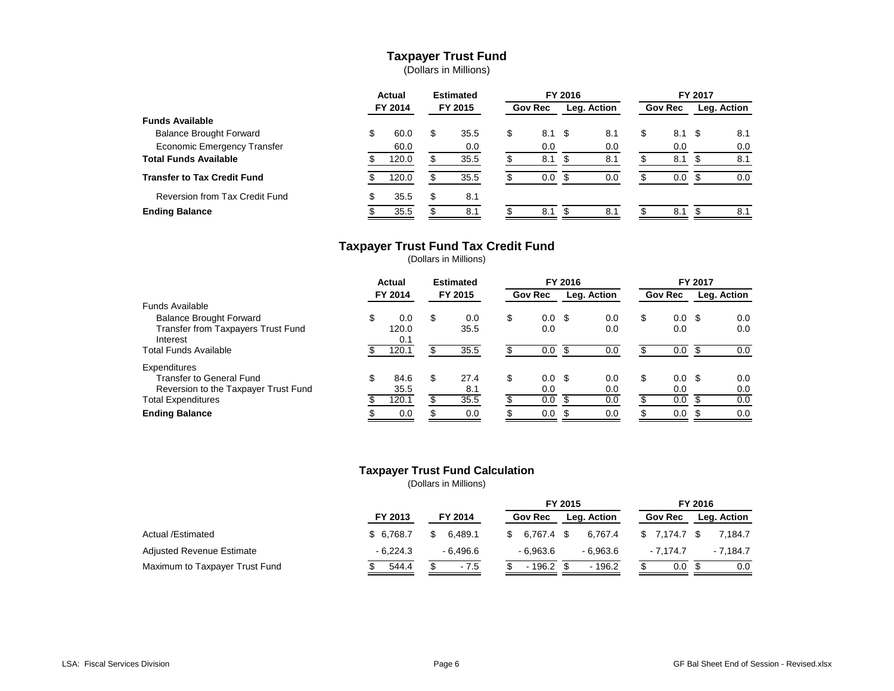## **Taxpayer Trust Fund**

(Dollars in Millions)

|                                    | <b>Actual</b> |         | <b>Estimated</b> |         |                | FY 2016 |             | FY 2017 |                |  |             |  |  |
|------------------------------------|---------------|---------|------------------|---------|----------------|---------|-------------|---------|----------------|--|-------------|--|--|
|                                    |               | FY 2014 |                  | FY 2015 | <b>Gov Rec</b> |         | Leg. Action |         | <b>Gov Rec</b> |  | Leg. Action |  |  |
| <b>Funds Available</b>             |               |         |                  |         |                |         |             |         |                |  |             |  |  |
| <b>Balance Brought Forward</b>     | \$            | 60.0    | S                | 35.5    | \$<br>8.1 \$   |         | 8.1         | S       | 8.1 \$         |  | 8.1         |  |  |
| <b>Economic Emergency Transfer</b> |               | 60.0    |                  | 0.0     | 0.0            |         | 0.0         |         | 0.0            |  | 0.0         |  |  |
| <b>Total Funds Available</b>       |               | 120.0   |                  | 35.5    | 8.1            |         | 8.1         |         | 8.1            |  | 8.1         |  |  |
| <b>Transfer to Tax Credit Fund</b> |               | 120.0   |                  | 35.5    | 0.0            |         | 0.0         |         | 0.0            |  | 0.0         |  |  |
| Reversion from Tax Credit Fund     | S             | 35.5    | \$               | 8.1     |                |         |             |         |                |  |             |  |  |
| <b>Ending Balance</b>              |               | 35.5    |                  | 8.1     | 8.1            |         | 8.1         |         | 8.1            |  | 8.1         |  |  |

#### **Taxpayer Trust Fund Tax Credit Fund**

(Dollars in Millions)

|                                      | <b>Actual</b><br>FY 2014 |       | <b>Estimated</b><br>FY 2015 |      |                |                  | FY 2016     |     | FY 2017 |                   |             |     |  |  |
|--------------------------------------|--------------------------|-------|-----------------------------|------|----------------|------------------|-------------|-----|---------|-------------------|-------------|-----|--|--|
|                                      |                          |       |                             |      | <b>Gov Rec</b> |                  | Leg. Action |     |         | <b>Gov Rec</b>    | Leg. Action |     |  |  |
| Funds Available                      |                          |       |                             |      |                |                  |             |     |         |                   |             |     |  |  |
| <b>Balance Brought Forward</b>       | \$                       | 0.0   | \$                          | 0.0  | \$             | $0.0 \,$ \$      |             | 0.0 | \$      | $0.0 \text{ }$ \$ |             | 0.0 |  |  |
| Transfer from Taxpayers Trust Fund   |                          | 120.0 |                             | 35.5 |                | 0.0              |             | 0.0 |         | 0.0               |             | 0.0 |  |  |
| Interest                             |                          | 0.1   |                             |      |                |                  |             |     |         |                   |             |     |  |  |
| Total Funds Available                |                          | 120.1 |                             | 35.5 |                | 0.0              |             | 0.0 |         | 0.0               |             | 0.0 |  |  |
| Expenditures                         |                          |       |                             |      |                |                  |             |     |         |                   |             |     |  |  |
| <b>Transfer to General Fund</b>      | \$                       | 84.6  | \$                          | 27.4 | \$.            | 0.0 <sup>5</sup> |             | 0.0 | S       | $0.0 \text{ }$ \$ |             | 0.0 |  |  |
| Reversion to the Taxpayer Trust Fund |                          | 35.5  |                             | 8.1  |                | 0.0              |             | 0.0 |         | 0.0               |             | 0.0 |  |  |
| <b>Total Expenditures</b>            |                          | 120.1 |                             | 35.5 |                | 0.0              |             | 0.0 |         | 0.0               |             | 0.0 |  |  |
| <b>Ending Balance</b>                |                          | 0.0   |                             | 0.0  |                | 0.0              |             | 0.0 |         | 0.0               |             | 0.0 |  |  |

### **Taxpayer Trust Fund Calculation**

|                                  |            |           | FY 2015                       |                          | FY 2016            |  |  |  |  |
|----------------------------------|------------|-----------|-------------------------------|--------------------------|--------------------|--|--|--|--|
|                                  | FY 2013    | FY 2014   | Leg. Action<br><b>Gov Rec</b> | <b>Gov Rec</b>           | <b>Leg. Action</b> |  |  |  |  |
| Actual /Estimated                | \$6.768.7  | 6.489.1   | 6.767.4 \$                    | $$7.174.7$ \$<br>6.767.4 | 7.184.7            |  |  |  |  |
| <b>Adjusted Revenue Estimate</b> | $-6.224.3$ | - 6.496.6 | $-6.963.6$                    | $-6.963.6$<br>- 7.174.7  | $-7.184.7$         |  |  |  |  |
| Maximum to Taxpayer Trust Fund   | 544.4      | $-7.5$    | $-196.2$                      | $-196.2$<br>0.0          | 0.0                |  |  |  |  |